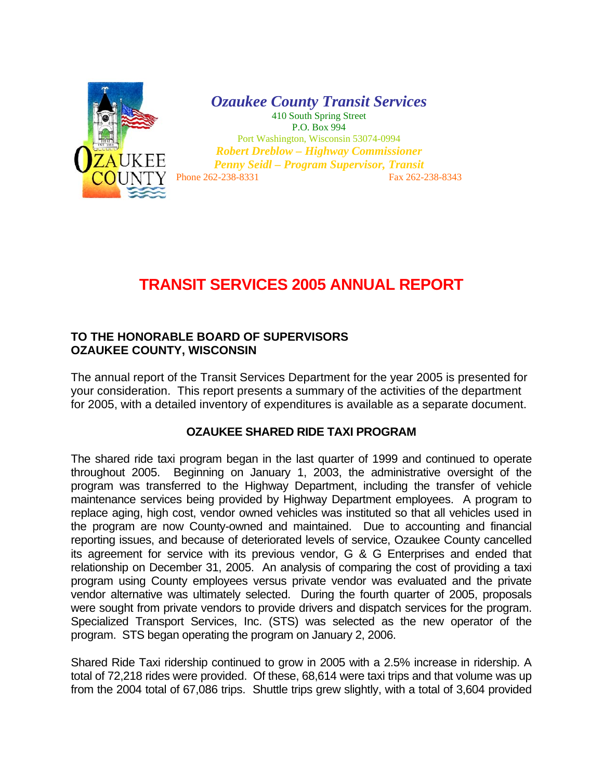

*Ozaukee County Transit Services*  410 South Spring Street P.O. Box 994 Port Washington, Wisconsin 53074-0994

*Robert Dreblow – Highway Commissioner Penny Seidl – Program Supervisor, Transit*  Phone 262-238-8331 Fax 262-238-8343

## **TRANSIT SERVICES 2005 ANNUAL REPORT**

## **TO THE HONORABLE BOARD OF SUPERVISORS OZAUKEE COUNTY, WISCONSIN**

The annual report of the Transit Services Department for the year 2005 is presented for your consideration. This report presents a summary of the activities of the department for 2005, with a detailed inventory of expenditures is available as a separate document.

## **OZAUKEE SHARED RIDE TAXI PROGRAM**

The shared ride taxi program began in the last quarter of 1999 and continued to operate throughout 2005. Beginning on January 1, 2003, the administrative oversight of the program was transferred to the Highway Department, including the transfer of vehicle maintenance services being provided by Highway Department employees. A program to replace aging, high cost, vendor owned vehicles was instituted so that all vehicles used in the program are now County-owned and maintained. Due to accounting and financial reporting issues, and because of deteriorated levels of service, Ozaukee County cancelled its agreement for service with its previous vendor, G & G Enterprises and ended that relationship on December 31, 2005. An analysis of comparing the cost of providing a taxi program using County employees versus private vendor was evaluated and the private vendor alternative was ultimately selected. During the fourth quarter of 2005, proposals were sought from private vendors to provide drivers and dispatch services for the program. Specialized Transport Services, Inc. (STS) was selected as the new operator of the program. STS began operating the program on January 2, 2006.

Shared Ride Taxi ridership continued to grow in 2005 with a 2.5% increase in ridership. A total of 72,218 rides were provided. Of these, 68,614 were taxi trips and that volume was up from the 2004 total of 67,086 trips. Shuttle trips grew slightly, with a total of 3,604 provided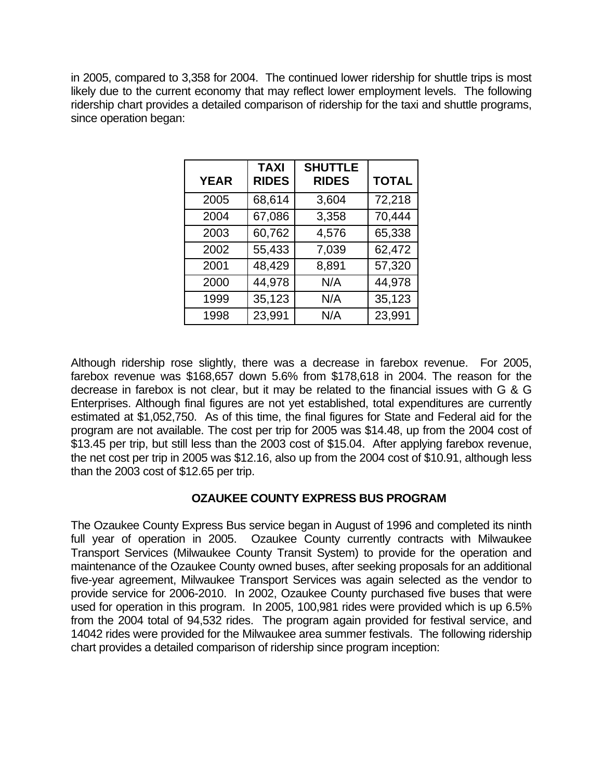in 2005, compared to 3,358 for 2004. The continued lower ridership for shuttle trips is most likely due to the current economy that may reflect lower employment levels. The following ridership chart provides a detailed comparison of ridership for the taxi and shuttle programs, since operation began:

| <b>YEAR</b> | <b>TAXI</b><br><b>RIDES</b> | <b>SHUTTLE</b><br><b>RIDES</b> | <b>TOTAL</b> |
|-------------|-----------------------------|--------------------------------|--------------|
| 2005        | 68,614                      | 3,604                          | 72,218       |
| 2004        | 67,086                      | 3,358                          | 70,444       |
| 2003        | 60,762                      | 4,576                          | 65,338       |
| 2002        | 55,433                      | 7,039                          | 62,472       |
| 2001        | 48,429                      | 8,891                          | 57,320       |
| 2000        | 44,978                      | N/A                            | 44,978       |
| 1999        | 35,123                      | N/A                            | 35,123       |
| 1998        | 23,991                      | N/A                            | 23,991       |

Although ridership rose slightly, there was a decrease in farebox revenue. For 2005, farebox revenue was \$168,657 down 5.6% from \$178,618 in 2004. The reason for the decrease in farebox is not clear, but it may be related to the financial issues with G & G Enterprises. Although final figures are not yet established, total expenditures are currently estimated at \$1,052,750. As of this time, the final figures for State and Federal aid for the program are not available. The cost per trip for 2005 was \$14.48, up from the 2004 cost of \$13.45 per trip, but still less than the 2003 cost of \$15.04. After applying farebox revenue, the net cost per trip in 2005 was \$12.16, also up from the 2004 cost of \$10.91, although less than the 2003 cost of \$12.65 per trip.

## **OZAUKEE COUNTY EXPRESS BUS PROGRAM**

The Ozaukee County Express Bus service began in August of 1996 and completed its ninth full year of operation in 2005. Ozaukee County currently contracts with Milwaukee Transport Services (Milwaukee County Transit System) to provide for the operation and maintenance of the Ozaukee County owned buses, after seeking proposals for an additional five-year agreement, Milwaukee Transport Services was again selected as the vendor to provide service for 2006-2010. In 2002, Ozaukee County purchased five buses that were used for operation in this program. In 2005, 100,981 rides were provided which is up 6.5% from the 2004 total of 94,532 rides. The program again provided for festival service, and 14042 rides were provided for the Milwaukee area summer festivals. The following ridership chart provides a detailed comparison of ridership since program inception: